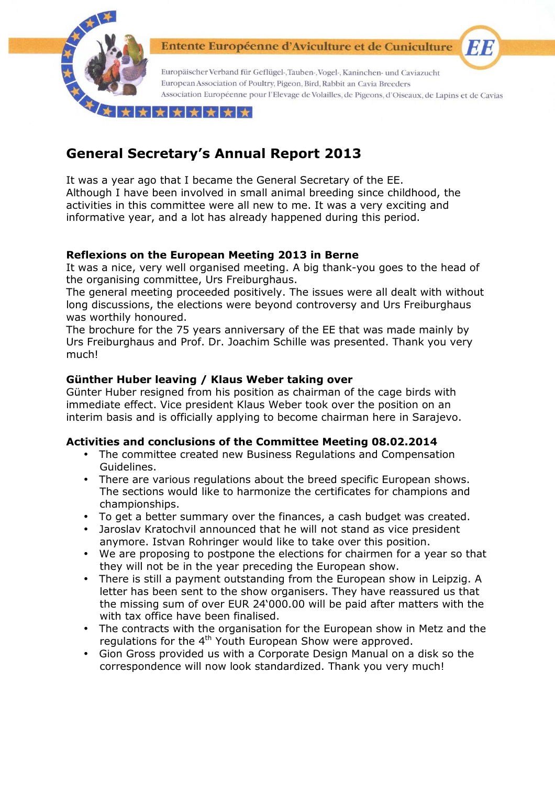

Entente Européenne d'Aviculture et de Cuniculture

Europäischer Verband für Geflügel-, Tauben-, Vogel-, Kaninchen- und Caviazucht European Association of Poultry, Pigeon, Bird, Rabbit an Cavia Breeders Association Européenne pour l'Elevage de Volailles, de Pigeons, d'Oiseaux, de Lapins et de Cavias

EIB

\*\*\*\*\*\*\*

# **General Secretary's Annual Report 2013**

It was a year ago that I became the General Secretary of the EE. Although I have been involved in small animal breeding since childhood, the activities in this committee were all new to me. It was a very exciting and informative year, and a lot has already happened during this period.

# **Reflexions on the European Meeting 2013 in Berne**

It was a nice, very well organised meeting. A big thank-you goes to the head of the organising committee, Urs Freiburghaus.

The general meeting proceeded positively. The issues were all dealt with without long discussions, the elections were beyond controversy and Urs Freiburghaus was worthily honoured.

The brochure for the 75 years anniversary of the EE that was made mainly by Urs Freiburghaus and Prof. Dr. Joachim Schille was presented. Thank you very much!

# **Günther Huber leaving / Klaus Weber taking over**

Günter Huber resigned from his position as chairman of the cage birds with immediate effect. Vice president Klaus Weber took over the position on an interim basis and is officially applying to become chairman here in Sarajevo.

# **Activities and conclusions of the Committee Meeting 08.02.2014**

- The committee created new Business Regulations and Compensation Guidelines.
- There are various regulations about the breed specific European shows. The sections would like to harmonize the certificates for champions and championships.
- To get a better summary over the finances, a cash budget was created.
- Jaroslav Kratochvil announced that he will not stand as vice president anymore. Istvan Rohringer would like to take over this position.
- We are proposing to postpone the elections for chairmen for a year so that they will not be in the year preceding the European show.
- There is still a payment outstanding from the European show in Leipzig. A letter has been sent to the show organisers. They have reassured us that the missing sum of over EUR 24'000.00 will be paid after matters with the with tax office have been finalised.
- The contracts with the organisation for the European show in Metz and the regulations for the 4<sup>th</sup> Youth European Show were approved.
- Gion Gross provided us with a Corporate Design Manual on a disk so the correspondence will now look standardized. Thank you very much!